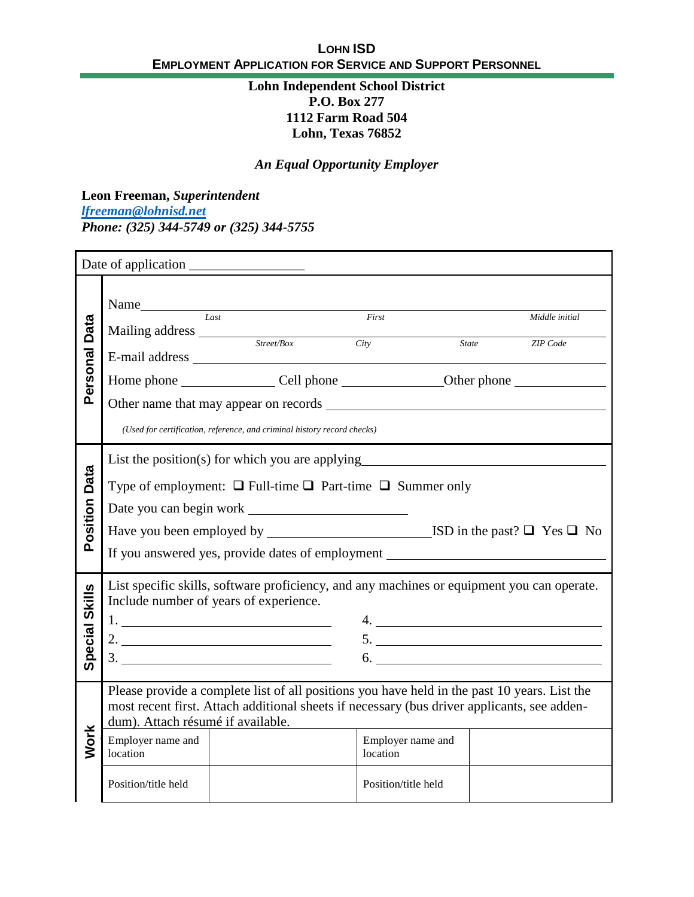#### **Lohn Independent School District P.O. Box 277 1112 Farm Road 504 Lohn, Texas 76852**

# *An Equal Opportunity Employer*

**Leon Freeman,** *Superintendent [lfreeman@lohnisd.net](mailto:lfreeman@lohnisd.net) Phone: (325) 344-5749 or (325) 344-5755*

| Data             | Name<br>Mailing address Street/Box                                                                                                                                                                                                                                                                                                                                                                                                                                   | last                                                                                                                                                                            | First<br>City       | <i>State</i> | Middle initial<br>ZIP Code |  |  |
|------------------|----------------------------------------------------------------------------------------------------------------------------------------------------------------------------------------------------------------------------------------------------------------------------------------------------------------------------------------------------------------------------------------------------------------------------------------------------------------------|---------------------------------------------------------------------------------------------------------------------------------------------------------------------------------|---------------------|--------------|----------------------------|--|--|
| Personal         |                                                                                                                                                                                                                                                                                                                                                                                                                                                                      | Home phone _____________________Cell phone _____________________Other phone ________________________<br>(Used for certification, reference, and criminal history record checks) |                     |              |                            |  |  |
| Data<br>Position | List the position(s) for which you are applying<br>Type of employment: $\Box$ Full-time $\Box$ Part-time $\Box$ Summer only<br>If you answered yes, provide dates of employment _______________________________                                                                                                                                                                                                                                                      |                                                                                                                                                                                 |                     |              |                            |  |  |
| Special Skills   | List specific skills, software proficiency, and any machines or equipment you can operate.<br>Include number of years of experience.<br>2. $\frac{1}{2}$ $\frac{1}{2}$ $\frac{1}{2}$ $\frac{1}{2}$ $\frac{1}{2}$ $\frac{1}{2}$ $\frac{1}{2}$ $\frac{1}{2}$ $\frac{1}{2}$ $\frac{1}{2}$ $\frac{1}{2}$ $\frac{1}{2}$ $\frac{1}{2}$ $\frac{1}{2}$ $\frac{1}{2}$ $\frac{1}{2}$ $\frac{1}{2}$ $\frac{1}{2}$ $\frac{1}{2}$ $\frac{1}{2}$ $\frac{1}{2}$ $\frac{1}{2}$<br>6. |                                                                                                                                                                                 |                     |              |                            |  |  |
| <b>Work</b>      | Please provide a complete list of all positions you have held in the past 10 years. List the<br>most recent first. Attach additional sheets if necessary (bus driver applicants, see adden-<br>dum). Attach résumé if available.<br>Employer name and<br>Employer name and<br>location<br>location                                                                                                                                                                   |                                                                                                                                                                                 |                     |              |                            |  |  |
|                  | Position/title held                                                                                                                                                                                                                                                                                                                                                                                                                                                  |                                                                                                                                                                                 | Position/title held |              |                            |  |  |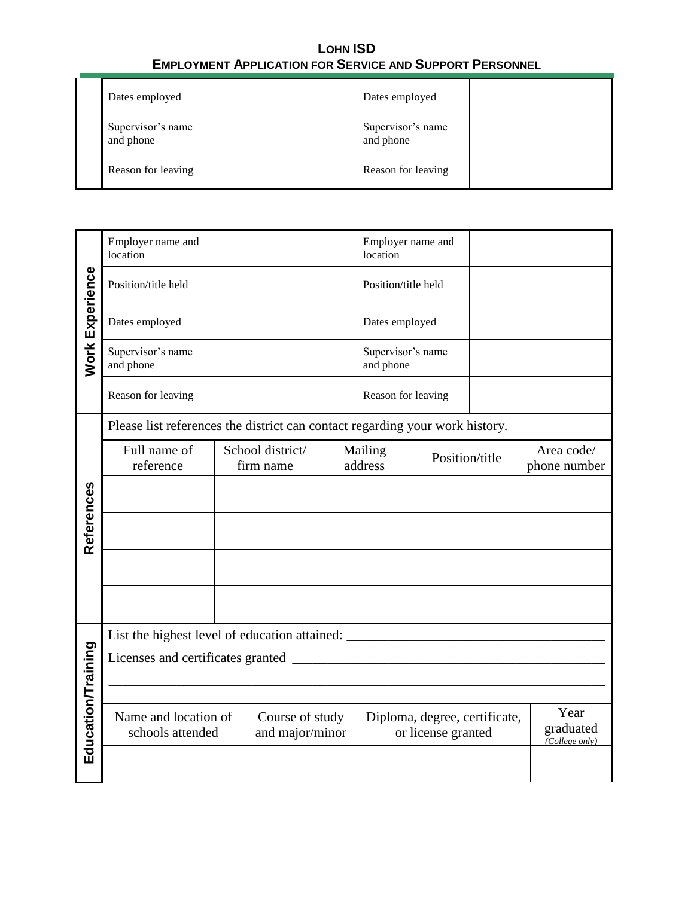|  | Dates employed                 |  | Dates employed                 |  |
|--|--------------------------------|--|--------------------------------|--|
|  | Supervisor's name<br>and phone |  | Supervisor's name<br>and phone |  |
|  | Reason for leaving             |  | Reason for leaving             |  |

|                 | Employer name and<br>location                                                     |                                                                              |  | Employer name and<br>location |                                |                                                     |  |                                     |
|-----------------|-----------------------------------------------------------------------------------|------------------------------------------------------------------------------|--|-------------------------------|--------------------------------|-----------------------------------------------------|--|-------------------------------------|
| Work Experience | Position/title held                                                               |                                                                              |  |                               | Position/title held            |                                                     |  |                                     |
|                 | Dates employed                                                                    |                                                                              |  |                               | Dates employed                 |                                                     |  |                                     |
|                 | Supervisor's name<br>and phone                                                    |                                                                              |  |                               | Supervisor's name<br>and phone |                                                     |  |                                     |
|                 | Reason for leaving                                                                |                                                                              |  |                               | Reason for leaving             |                                                     |  |                                     |
|                 |                                                                                   | Please list references the district can contact regarding your work history. |  |                               |                                |                                                     |  |                                     |
|                 | Full name of<br>reference                                                         | School district/<br>firm name                                                |  | Mailing<br>address            |                                | Position/title                                      |  | Area code/<br>phone number          |
|                 |                                                                                   |                                                                              |  |                               |                                |                                                     |  |                                     |
| References      |                                                                                   |                                                                              |  |                               |                                |                                                     |  |                                     |
|                 |                                                                                   |                                                                              |  |                               |                                |                                                     |  |                                     |
|                 |                                                                                   |                                                                              |  |                               |                                |                                                     |  |                                     |
|                 | List the highest level of education attained: ___________________________________ |                                                                              |  |                               |                                |                                                     |  |                                     |
|                 |                                                                                   |                                                                              |  |                               |                                |                                                     |  |                                     |
|                 |                                                                                   |                                                                              |  |                               |                                |                                                     |  |                                     |
| cation/Training | Name and location of<br>schools attended                                          | Course of study<br>and major/minor                                           |  |                               |                                | Diploma, degree, certificate,<br>or license granted |  | Year<br>graduated<br>(College only) |
| 品               |                                                                                   |                                                                              |  |                               |                                |                                                     |  |                                     |
|                 |                                                                                   |                                                                              |  |                               |                                |                                                     |  |                                     |
|                 |                                                                                   |                                                                              |  |                               |                                |                                                     |  |                                     |
|                 |                                                                                   |                                                                              |  |                               |                                |                                                     |  |                                     |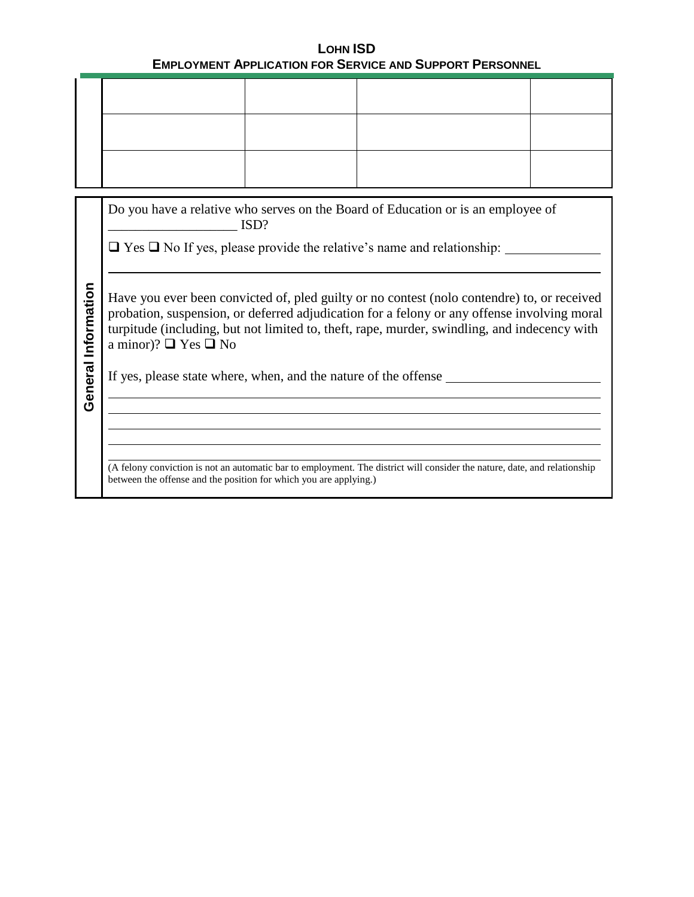|                     | Do you have a relative who serves on the Board of Education or is an employee of<br>$\mathbf{ISD}$ ?                                                                                                                                                                                                                         |
|---------------------|------------------------------------------------------------------------------------------------------------------------------------------------------------------------------------------------------------------------------------------------------------------------------------------------------------------------------|
|                     | $\Box$ Yes $\Box$ No If yes, please provide the relative's name and relationship: $\Box$                                                                                                                                                                                                                                     |
| General Information | Have you ever been convicted of, pled guilty or no contest (nolo contendre) to, or received<br>probation, suspension, or deferred adjudication for a felony or any offense involving moral<br>turpitude (including, but not limited to, theft, rape, murder, swindling, and indecency with<br>a minor)? $\Box$ Yes $\Box$ No |
|                     | If yes, please state where, when, and the nature of the offense                                                                                                                                                                                                                                                              |
|                     | and the control of the control of the control of the control of the control of the control of the control of the                                                                                                                                                                                                             |
|                     | (A felony conviction is not an automatic bar to employment. The district will consider the nature, date, and relationship<br>between the offense and the position for which you are applying.)                                                                                                                               |
|                     |                                                                                                                                                                                                                                                                                                                              |
|                     |                                                                                                                                                                                                                                                                                                                              |
|                     |                                                                                                                                                                                                                                                                                                                              |
|                     |                                                                                                                                                                                                                                                                                                                              |
|                     |                                                                                                                                                                                                                                                                                                                              |
|                     |                                                                                                                                                                                                                                                                                                                              |
|                     |                                                                                                                                                                                                                                                                                                                              |
|                     |                                                                                                                                                                                                                                                                                                                              |
|                     |                                                                                                                                                                                                                                                                                                                              |
|                     |                                                                                                                                                                                                                                                                                                                              |